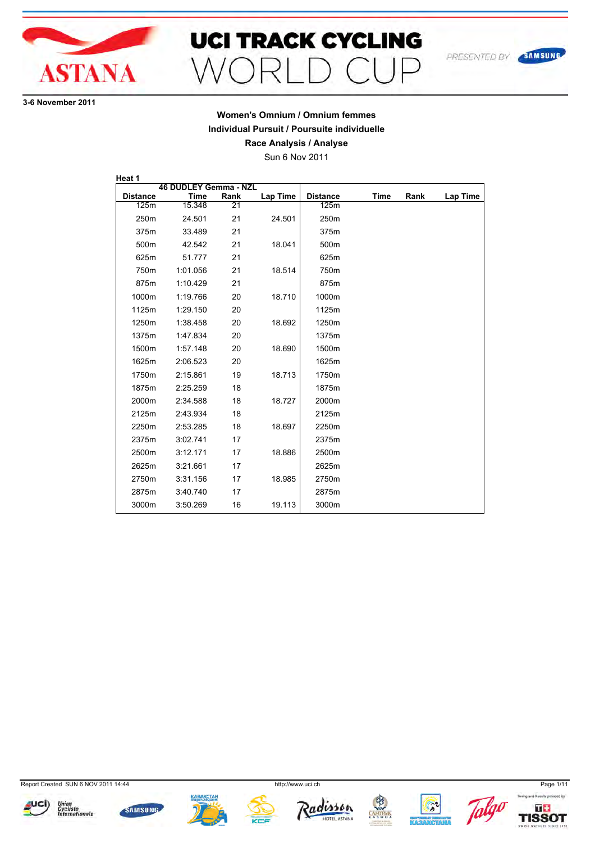

# **UCI TRACK CYCLING**

**36 November 2011**

#### **Women's Omnium / Omnium femmes Individual Pursuit / Poursuite individuelle Race Analysis / Analyse**

Sun 6 Nov 2011

**46 DUDLEY Gemma - NZL<br>Time Rank Distance Time Rank Lap Time Heat 1**  $15.348$ 250m 24.501 21 24.501 375m 33.489 21 500m 42.542 21 18.041 625m 51.777 21 750m 1:01.056 21 18.514 875m 1:10.429 21 1000m 1:19.766 20 18.710 1125m 1:29.150 20 1250m 1:38.458 20 18.692 1375m 1:47.834 20 1500m 1:57.148 20 18.690 1625m 2:06.523 20 1750m 2:15.861 19 18.713 1875m 2:25.259 18 2000m 2:34.588 18 18.727 2125m 2:43.934 18 2250m 2:53.285 18 18.697 2375m 3:02.741 17 2500m 3:12.171 17 18.886 2625m 3:21.661 17 2750m 3:31.156 17 18.985 2875m 3:40.740 17 3000m 3:50.269 16 19.113 **Distance Time Rank Lap Time** 125m 250m 375m 500m 625m 750m 875m 1000m 1125m 1250m 1375m 1500m 1625m 1750m 1875m 2000m 2125m 2250m 2375m 2500m 2625m 2750m 2875m 3000m

Report Created SUN 6 NOV 2011 14:44 http://www.uci.ch Page 1/11



















SAMSUNG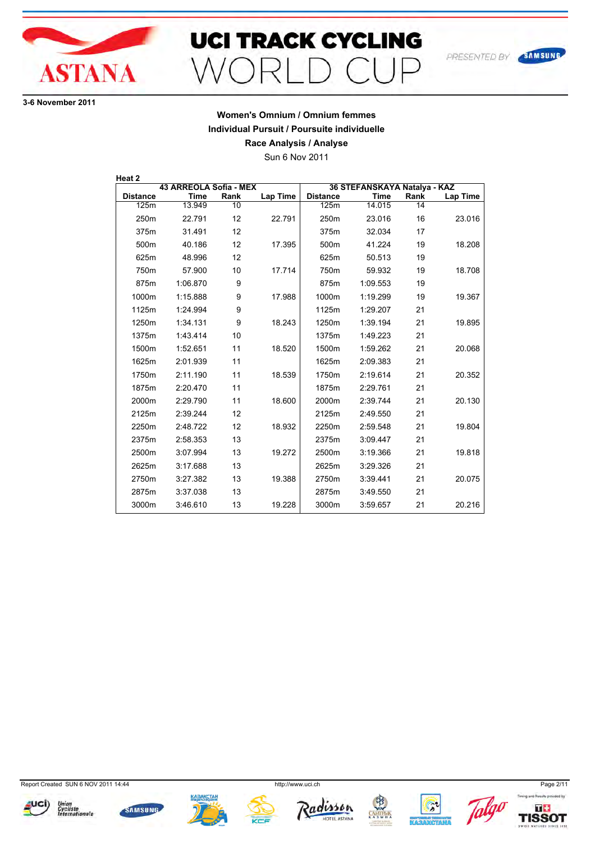

## **UCI TRACK CYCLING**  $\bigcap$   $\bigcap$   $\bigcap$  $\supset$  $M\cap F$

**36 November 2011**

## **Women's Omnium / Omnium femmes Individual Pursuit / Poursuite individuelle**

**Race Analysis / Analyse**

Sun 6 Nov 2011

| Heat 2          |                        |      |                 |                 |                              |      |          |  |
|-----------------|------------------------|------|-----------------|-----------------|------------------------------|------|----------|--|
|                 | 43 ARREOLA Sofia - MEX |      |                 |                 | 36 STEFANSKAYA Natalya - KAZ |      |          |  |
| <b>Distance</b> | <b>Time</b>            | Rank | <b>Lap Time</b> | <b>Distance</b> | <b>Time</b>                  | Rank | Lap Time |  |
| 125m            | 13.949                 | 10   |                 | 125m            | 14.015                       | 14   |          |  |
| 250m            | 22.791                 | 12   | 22.791          | 250m            | 23.016                       | 16   | 23.016   |  |
| 375m            | 31.491                 | 12   |                 | 375m            | 32.034                       | 17   |          |  |
| 500m            | 40.186                 | 12   | 17.395          | 500m            | 41.224                       | 19   | 18.208   |  |
| 625m            | 48.996                 | 12   |                 | 625m            | 50.513                       | 19   |          |  |
| 750m            | 57.900                 | 10   | 17.714          | 750m            | 59.932                       | 19   | 18.708   |  |
| 875m            | 1:06.870               | 9    |                 | 875m            | 1:09.553                     | 19   |          |  |
| 1000m           | 1:15.888               | 9    | 17.988          | 1000m           | 1:19.299                     | 19   | 19.367   |  |
| 1125m           | 1:24.994               | 9    |                 | 1125m           | 1:29.207                     | 21   |          |  |
| 1250m           | 1:34.131               | 9    | 18.243          | 1250m           | 1:39.194                     | 21   | 19.895   |  |
| 1375m           | 1:43.414               | 10   |                 | 1375m           | 1:49.223                     | 21   |          |  |
| 1500m           | 1:52.651               | 11   | 18.520          | 1500m           | 1:59.262                     | 21   | 20.068   |  |
| 1625m           | 2:01.939               | 11   |                 | 1625m           | 2:09.383                     | 21   |          |  |
| 1750m           | 2:11.190               | 11   | 18.539          | 1750m           | 2:19.614                     | 21   | 20.352   |  |
| 1875m           | 2:20.470               | 11   |                 | 1875m           | 2:29.761                     | 21   |          |  |
| 2000m           | 2:29.790               | 11   | 18.600          | 2000m           | 2:39.744                     | 21   | 20.130   |  |
| 2125m           | 2:39.244               | 12   |                 | 2125m           | 2:49.550                     | 21   |          |  |
| 2250m           | 2:48.722               | 12   | 18.932          | 2250m           | 2:59.548                     | 21   | 19.804   |  |
| 2375m           | 2:58.353               | 13   |                 | 2375m           | 3:09.447                     | 21   |          |  |
| 2500m           | 3:07.994               | 13   | 19.272          | 2500m           | 3:19.366                     | 21   | 19.818   |  |
| 2625m           | 3:17.688               | 13   |                 | 2625m           | 3:29.326                     | 21   |          |  |
| 2750m           | 3:27.382               | 13   | 19.388          | 2750m           | 3:39.441                     | 21   | 20.075   |  |
| 2875m           | 3:37.038               | 13   |                 | 2875m           | 3:49.550                     | 21   |          |  |
| 3000m           | 3:46.610               | 13   | 19.228          | 3000m           | 3:59.657                     | 21   | 20.216   |  |

Report Created SUN 6 NOV 2011 14:44 http://www.uci.ch Page 2/11



















SAMSUNG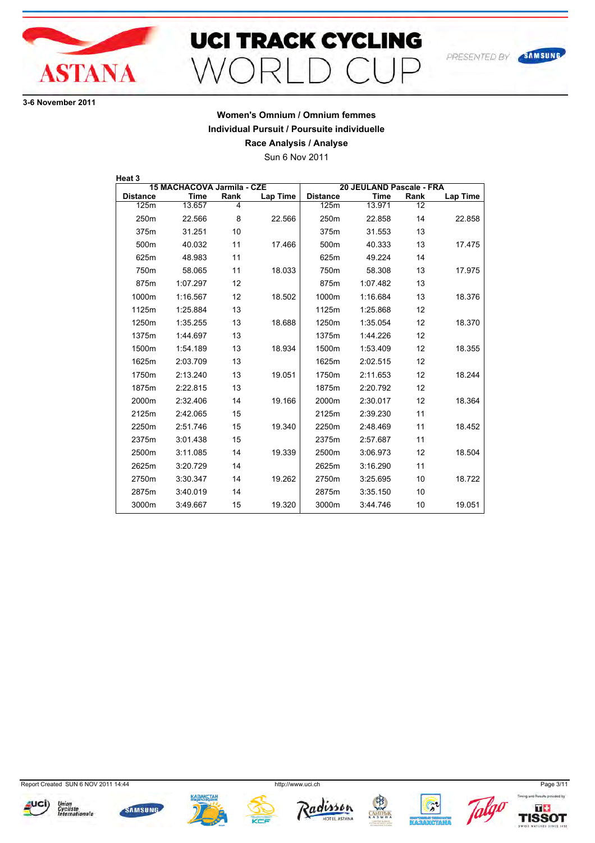

## **UCI TRACK CYCLING**  $\supset$  $\bigcap$   $\bigcap$   $\bigcap$  $M\cap F$

**36 November 2011**

#### **Women's Omnium / Omnium femmes Individual Pursuit / Poursuite individuelle Race Analysis / Analyse**

Sun 6 Nov 2011

| Heat 3          |                            |      |          |                  |                          |      |          |
|-----------------|----------------------------|------|----------|------------------|--------------------------|------|----------|
|                 | 15 MACHACOVA Jarmila - CZE |      |          |                  | 20 JEULAND Pascale - FRA |      |          |
| <b>Distance</b> | <b>Time</b>                | Rank | Lap Time | <b>Distance</b>  | <b>Time</b>              | Rank | Lap Time |
| 125m            | 13.657                     | 4    |          | 125m             | 13.971                   | 12   |          |
| 250m            | 22.566                     | 8    | 22.566   | 250 <sub>m</sub> | 22.858                   | 14   | 22.858   |
| 375m            | 31.251                     | 10   |          | 375m             | 31.553                   | 13   |          |
| 500m            | 40.032                     | 11   | 17.466   | 500m             | 40.333                   | 13   | 17.475   |
| 625m            | 48.983                     | 11   |          | 625m             | 49.224                   | 14   |          |
| 750m            | 58.065                     | 11   | 18.033   | 750m             | 58.308                   | 13   | 17.975   |
| 875m            | 1:07.297                   | 12   |          | 875m             | 1:07.482                 | 13   |          |
| 1000m           | 1:16.567                   | 12   | 18.502   | 1000m            | 1:16.684                 | 13   | 18.376   |
| 1125m           | 1:25.884                   | 13   |          | 1125m            | 1:25.868                 | 12   |          |
| 1250m           | 1:35.255                   | 13   | 18.688   | 1250m            | 1:35.054                 | 12   | 18.370   |
| 1375m           | 1:44.697                   | 13   |          | 1375m            | 1:44.226                 | 12   |          |
| 1500m           | 1:54.189                   | 13   | 18.934   | 1500m            | 1:53.409                 | 12   | 18.355   |
| 1625m           | 2:03.709                   | 13   |          | 1625m            | 2:02.515                 | 12   |          |
| 1750m           | 2:13.240                   | 13   | 19.051   | 1750m            | 2:11.653                 | 12   | 18.244   |
| 1875m           | 2:22.815                   | 13   |          | 1875m            | 2:20.792                 | 12   |          |
| 2000m           | 2:32.406                   | 14   | 19.166   | 2000m            | 2:30.017                 | 12   | 18.364   |
| 2125m           | 2:42.065                   | 15   |          | 2125m            | 2:39.230                 | 11   |          |
| 2250m           | 2:51.746                   | 15   | 19.340   | 2250m            | 2:48.469                 | 11   | 18.452   |
| 2375m           | 3:01.438                   | 15   |          | 2375m            | 2:57.687                 | 11   |          |
| 2500m           | 3:11.085                   | 14   | 19.339   | 2500m            | 3:06.973                 | 12   | 18.504   |
| 2625m           | 3:20.729                   | 14   |          | 2625m            | 3:16.290                 | 11   |          |
| 2750m           | 3:30.347                   | 14   | 19.262   | 2750m            | 3:25.695                 | 10   | 18.722   |
| 2875m           | 3:40.019                   | 14   |          | 2875m            | 3:35.150                 | 10   |          |
| 3000m           | 3:49.667                   | 15   | 19.320   | 3000m            | 3:44.746                 | 10   | 19.051   |

Report Created SUN 6 NOV 2011 14:44 http://www.uci.ch Page 3/11





















Timing and Results pro

SAMSUNG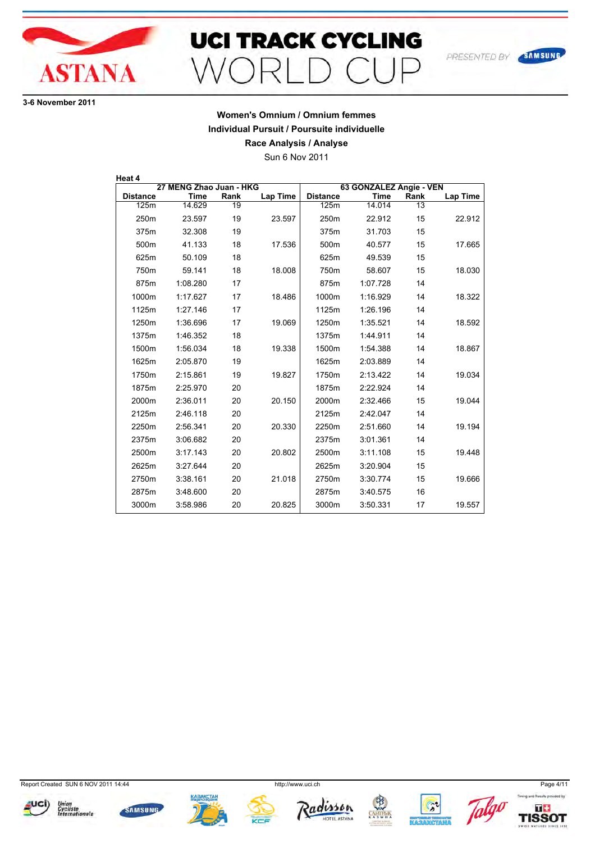

**36 November 2011**

## **Women's Omnium / Omnium femmes Individual Pursuit / Poursuite individuelle**

**Race Analysis / Analyse**

Sun 6 Nov 2011

| Heat 4          |                         |      |                 |                         |             |      |          |
|-----------------|-------------------------|------|-----------------|-------------------------|-------------|------|----------|
|                 | 27 MENG Zhao Juan - HKG |      |                 | 63 GONZALEZ Angie - VEN |             |      |          |
| <b>Distance</b> | <b>Time</b>             | Rank | <b>Lap Time</b> | <b>Distance</b>         | <b>Time</b> | Rank | Lap Time |
| 125m            | 14.629                  | 19   |                 | 125m                    | 14.014      | 13   |          |
| 250m            | 23.597                  | 19   | 23.597          | 250m                    | 22.912      | 15   | 22.912   |
| 375m            | 32.308                  | 19   |                 | 375m                    | 31.703      | 15   |          |
| 500m            | 41.133                  | 18   | 17.536          | 500m                    | 40.577      | 15   | 17.665   |
| 625m            | 50.109                  | 18   |                 | 625m                    | 49.539      | 15   |          |
| 750m            | 59.141                  | 18   | 18.008          | 750m                    | 58.607      | 15   | 18.030   |
| 875m            | 1:08.280                | 17   |                 | 875m                    | 1:07.728    | 14   |          |
| 1000m           | 1:17.627                | 17   | 18.486          | 1000m                   | 1:16.929    | 14   | 18.322   |
| 1125m           | 1:27.146                | 17   |                 | 1125m                   | 1:26.196    | 14   |          |
| 1250m           | 1:36.696                | 17   | 19.069          | 1250m                   | 1:35.521    | 14   | 18.592   |
| 1375m           | 1:46.352                | 18   |                 | 1375m                   | 1:44.911    | 14   |          |
| 1500m           | 1:56.034                | 18   | 19.338          | 1500m                   | 1:54.388    | 14   | 18.867   |
| 1625m           | 2:05.870                | 19   |                 | 1625m                   | 2:03.889    | 14   |          |
| 1750m           | 2:15.861                | 19   | 19.827          | 1750m                   | 2:13.422    | 14   | 19.034   |
| 1875m           | 2:25.970                | 20   |                 | 1875m                   | 2:22.924    | 14   |          |
| 2000m           | 2:36.011                | 20   | 20.150          | 2000m                   | 2:32.466    | 15   | 19.044   |
| 2125m           | 2:46.118                | 20   |                 | 2125m                   | 2:42.047    | 14   |          |
| 2250m           | 2:56.341                | 20   | 20.330          | 2250m                   | 2:51.660    | 14   | 19.194   |
| 2375m           | 3:06.682                | 20   |                 | 2375m                   | 3:01.361    | 14   |          |
| 2500m           | 3:17.143                | 20   | 20.802          | 2500m                   | 3:11.108    | 15   | 19.448   |
| 2625m           | 3:27.644                | 20   |                 | 2625m                   | 3:20.904    | 15   |          |
| 2750m           | 3:38.161                | 20   | 21.018          | 2750m                   | 3:30.774    | 15   | 19.666   |
| 2875m           | 3:48.600                | 20   |                 | 2875m                   | 3:40.575    | 16   |          |
| 3000m           | 3:58.986                | 20   | 20.825          | 3000m                   | 3:50.331    | 17   | 19.557   |

Report Created SUN 6 NOV 2011 14:44 http://www.uci.ch Page 4/11



















SAMSUNG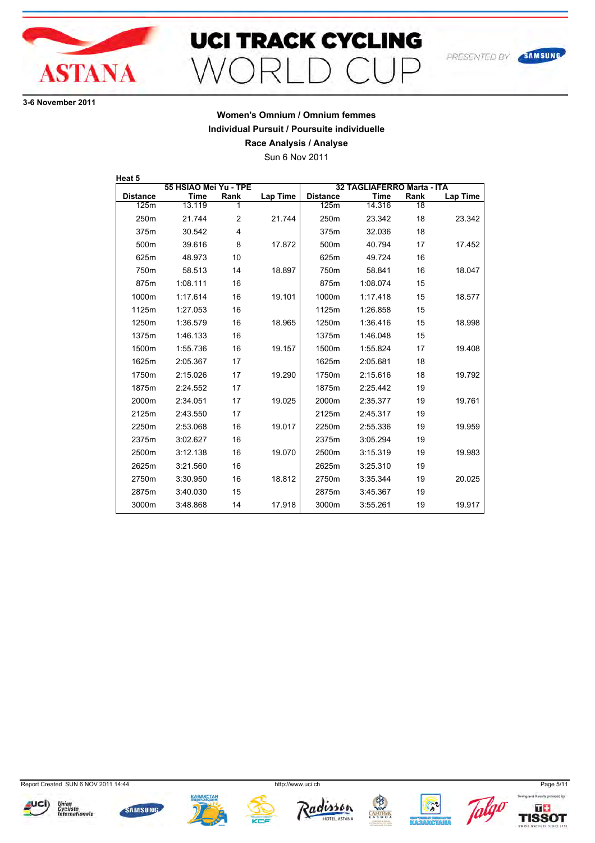

**36 November 2011**

#### **Women's Omnium / Omnium femmes Individual Pursuit / Poursuite individuelle Race Analysis / Analyse**

Sun 6 Nov 2011

| Heat 5           |                       |                |                 |                  |                            |      |                 |
|------------------|-----------------------|----------------|-----------------|------------------|----------------------------|------|-----------------|
|                  | 55 HSIAO Mei Yu - TPE |                |                 |                  | 32 TAGLIAFERRO Marta - ITA |      |                 |
| <b>Distance</b>  | <b>Time</b>           | Rank           | <b>Lap Time</b> | <b>Distance</b>  | <b>Time</b>                | Rank | <b>Lap Time</b> |
| 125m             | 13.119                | 1              |                 | 125m             | 14.316                     | 18   |                 |
| 250 <sub>m</sub> | 21.744                | $\overline{2}$ | 21.744          | 250 <sub>m</sub> | 23.342                     | 18   | 23.342          |
| 375m             | 30.542                | 4              |                 | 375m             | 32.036                     | 18   |                 |
| 500m             | 39.616                | 8              | 17.872          | 500m             | 40.794                     | 17   | 17.452          |
| 625m             | 48.973                | 10             |                 | 625m             | 49.724                     | 16   |                 |
| 750m             | 58.513                | 14             | 18.897          | 750m             | 58.841                     | 16   | 18.047          |
| 875m             | 1:08.111              | 16             |                 | 875m             | 1:08.074                   | 15   |                 |
| 1000m            | 1:17.614              | 16             | 19.101          | 1000m            | 1:17.418                   | 15   | 18.577          |
| 1125m            | 1:27.053              | 16             |                 | 1125m            | 1:26.858                   | 15   |                 |
| 1250m            | 1:36.579              | 16             | 18.965          | 1250m            | 1:36.416                   | 15   | 18.998          |
| 1375m            | 1:46.133              | 16             |                 | 1375m            | 1:46.048                   | 15   |                 |
| 1500m            | 1:55.736              | 16             | 19.157          | 1500m            | 1:55.824                   | 17   | 19.408          |
| 1625m            | 2:05.367              | 17             |                 | 1625m            | 2:05.681                   | 18   |                 |
| 1750m            | 2:15.026              | 17             | 19.290          | 1750m            | 2:15.616                   | 18   | 19.792          |
| 1875m            | 2:24.552              | 17             |                 | 1875m            | 2:25.442                   | 19   |                 |
| 2000m            | 2:34.051              | 17             | 19.025          | 2000m            | 2:35.377                   | 19   | 19.761          |
| 2125m            | 2:43.550              | 17             |                 | 2125m            | 2:45.317                   | 19   |                 |
| 2250m            | 2:53.068              | 16             | 19.017          | 2250m            | 2:55.336                   | 19   | 19.959          |
| 2375m            | 3:02.627              | 16             |                 | 2375m            | 3:05.294                   | 19   |                 |
| 2500m            | 3:12.138              | 16             | 19.070          | 2500m            | 3:15.319                   | 19   | 19.983          |
| 2625m            | 3:21.560              | 16             |                 | 2625m            | 3:25.310                   | 19   |                 |
| 2750m            | 3:30.950              | 16             | 18.812          | 2750m            | 3:35.344                   | 19   | 20.025          |
| 2875m            | 3:40.030              | 15             |                 | 2875m            | 3:45.367                   | 19   |                 |
| 3000m            | 3:48.868              | 14             | 17.918          | 3000m            | 3:55.261                   | 19   | 19.917          |

Report Created SUN 6 NOV 2011 14:44 http://www.uci.ch Page 5/11



















SAMSUNG

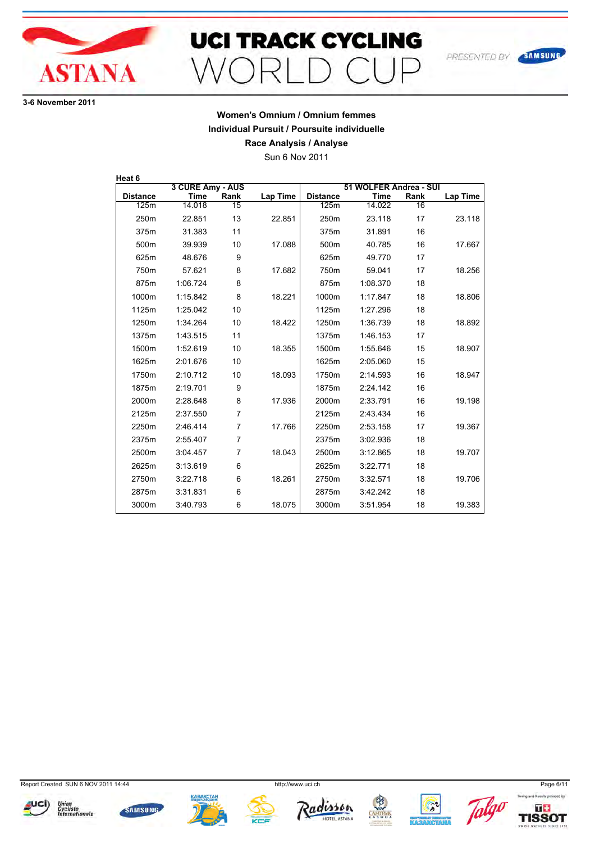

## **UCI TRACK CYCLING**  $\supset$  $\bigcap$   $\bigcap$   $\bigcap$  $M\cap F$

**36 November 2011**

## **Women's Omnium / Omnium femmes Individual Pursuit / Poursuite individuelle**

**Race Analysis / Analyse**

Sun 6 Nov 2011

| Heat 6          |                  |                |                 |                 |                        |      |          |
|-----------------|------------------|----------------|-----------------|-----------------|------------------------|------|----------|
|                 | 3 CURE Amy - AUS |                |                 |                 | 51 WOLFER Andrea - SUI |      |          |
| <b>Distance</b> | <b>Time</b>      | Rank           | <b>Lap Time</b> | <b>Distance</b> | <b>Time</b>            | Rank | Lap Time |
| 125m            | 14.018           | 15             |                 | 125m            | 14.022                 | 16   |          |
| 250m            | 22.851           | 13             | 22.851          | 250m            | 23.118                 | 17   | 23.118   |
| 375m            | 31.383           | 11             |                 | 375m            | 31.891                 | 16   |          |
| 500m            | 39.939           | 10             | 17.088          | 500m            | 40.785                 | 16   | 17.667   |
| 625m            | 48.676           | 9              |                 | 625m            | 49.770                 | 17   |          |
| 750m            | 57.621           | 8              | 17.682          | 750m            | 59.041                 | 17   | 18.256   |
| 875m            | 1:06.724         | 8              |                 | 875m            | 1:08.370               | 18   |          |
| 1000m           | 1:15.842         | 8              | 18.221          | 1000m           | 1:17.847               | 18   | 18.806   |
| 1125m           | 1:25.042         | 10             |                 | 1125m           | 1:27.296               | 18   |          |
| 1250m           | 1:34.264         | 10             | 18.422          | 1250m           | 1:36.739               | 18   | 18.892   |
| 1375m           | 1:43.515         | 11             |                 | 1375m           | 1:46.153               | 17   |          |
| 1500m           | 1:52.619         | 10             | 18.355          | 1500m           | 1:55.646               | 15   | 18.907   |
| 1625m           | 2:01.676         | 10             |                 | 1625m           | 2:05.060               | 15   |          |
| 1750m           | 2:10.712         | 10             | 18.093          | 1750m           | 2:14.593               | 16   | 18.947   |
| 1875m           | 2:19.701         | 9              |                 | 1875m           | 2:24.142               | 16   |          |
| 2000m           | 2:28.648         | 8              | 17.936          | 2000m           | 2:33.791               | 16   | 19.198   |
| 2125m           | 2:37.550         | $\overline{7}$ |                 | 2125m           | 2:43.434               | 16   |          |
| 2250m           | 2:46.414         | $\overline{7}$ | 17.766          | 2250m           | 2:53.158               | 17   | 19.367   |
| 2375m           | 2:55.407         | 7              |                 | 2375m           | 3:02.936               | 18   |          |
| 2500m           | 3:04.457         | 7              | 18.043          | 2500m           | 3:12.865               | 18   | 19.707   |
| 2625m           | 3:13.619         | 6              |                 | 2625m           | 3:22.771               | 18   |          |
| 2750m           | 3:22.718         | 6              | 18.261          | 2750m           | 3:32.571               | 18   | 19.706   |
| 2875m           | 3:31.831         | 6              |                 | 2875m           | 3:42.242               | 18   |          |
| 3000m           | 3:40.793         | 6              | 18.075          | 3000m           | 3:51.954               | 18   | 19.383   |

Report Created SUN 6 NOV 2011 14:44 http://www.uci.ch Page 6/11

















SAMSUNG

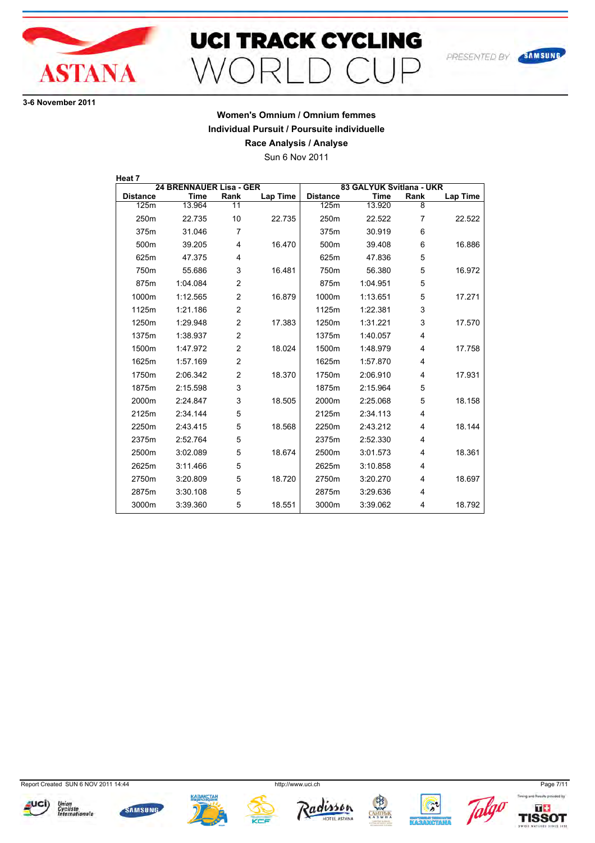

**36 November 2011**

## **Women's Omnium / Omnium femmes Individual Pursuit / Poursuite individuelle**

**Race Analysis / Analyse**

Sun 6 Nov 2011

| Heat 7           |                                |                |                 |                  |                          |      |                 |
|------------------|--------------------------------|----------------|-----------------|------------------|--------------------------|------|-----------------|
|                  | <b>24 BRENNAUER Lisa - GER</b> |                |                 |                  | 83 GALYUK Svitlana - UKR |      |                 |
| <b>Distance</b>  | <b>Time</b>                    | Rank           | <b>Lap Time</b> | <b>Distance</b>  | <b>Time</b>              | Rank | <b>Lap Time</b> |
| 125m             | 13.964                         | 11             |                 | 125m             | 13.920                   | 8    |                 |
| 250 <sub>m</sub> | 22.735                         | 10             | 22.735          | 250 <sub>m</sub> | 22.522                   | 7    | 22.522          |
| 375m             | 31.046                         | 7              |                 | 375m             | 30.919                   | 6    |                 |
| 500m             | 39.205                         | 4              | 16.470          | 500m             | 39.408                   | 6    | 16.886          |
| 625m             | 47.375                         | 4              |                 | 625m             | 47.836                   | 5    |                 |
| 750m             | 55.686                         | 3              | 16.481          | 750m             | 56.380                   | 5    | 16.972          |
| 875m             | 1:04.084                       | $\overline{2}$ |                 | 875m             | 1:04.951                 | 5    |                 |
| 1000m            | 1:12.565                       | $\overline{2}$ | 16.879          | 1000m            | 1:13.651                 | 5    | 17.271          |
| 1125m            | 1:21.186                       | $\overline{2}$ |                 | 1125m            | 1:22.381                 | 3    |                 |
| 1250m            | 1:29.948                       | $\overline{2}$ | 17.383          | 1250m            | 1:31.221                 | 3    | 17.570          |
| 1375m            | 1:38.937                       | $\overline{2}$ |                 | 1375m            | 1:40.057                 | 4    |                 |
| 1500m            | 1:47.972                       | 2              | 18.024          | 1500m            | 1:48.979                 | 4    | 17.758          |
| 1625m            | 1:57.169                       | $\overline{c}$ |                 | 1625m            | 1:57.870                 | 4    |                 |
| 1750m            | 2:06.342                       | $\overline{2}$ | 18.370          | 1750m            | 2:06.910                 | 4    | 17.931          |
| 1875m            | 2:15.598                       | 3              |                 | 1875m            | 2:15.964                 | 5    |                 |
| 2000m            | 2:24.847                       | 3              | 18.505          | 2000m            | 2:25.068                 | 5    | 18.158          |
| 2125m            | 2:34.144                       | 5              |                 | 2125m            | 2:34.113                 | 4    |                 |
| 2250m            | 2:43.415                       | 5              | 18.568          | 2250m            | 2:43.212                 | 4    | 18.144          |
| 2375m            | 2:52.764                       | 5              |                 | 2375m            | 2:52.330                 | 4    |                 |
| 2500m            | 3:02.089                       | 5              | 18.674          | 2500m            | 3:01.573                 | 4    | 18.361          |
| 2625m            | 3:11.466                       | 5              |                 | 2625m            | 3:10.858                 | 4    |                 |
| 2750m            | 3:20.809                       | 5              | 18.720          | 2750m            | 3:20.270                 | 4    | 18.697          |
| 2875m            | 3:30.108                       | 5              |                 | 2875m            | 3:29.636                 | 4    |                 |
| 3000m            | 3:39.360                       | 5              | 18.551          | 3000m            | 3:39.062                 | 4    | 18.792          |

Report Created SUN 6 NOV 2011 14:44 http://www.uci.ch Page 7/11

















SAMSUNG

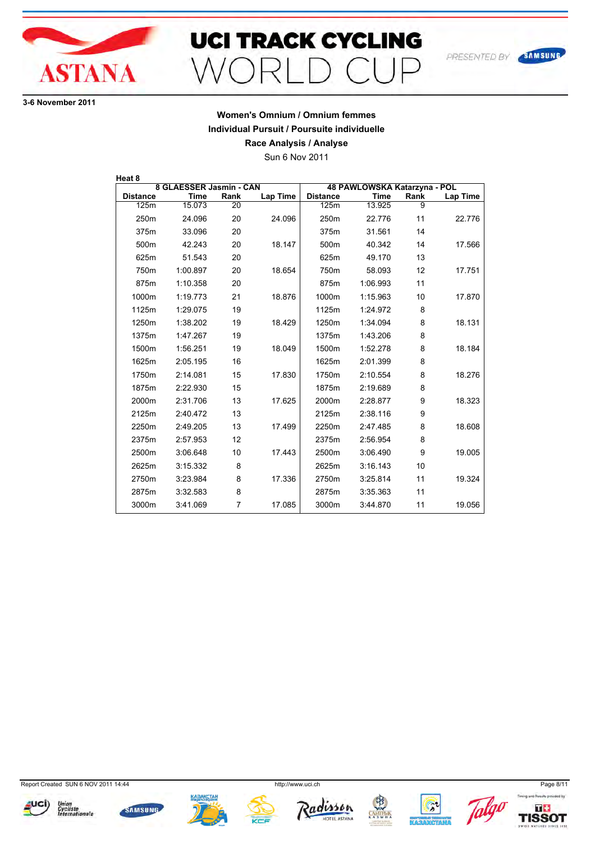

## **UCI TRACK CYCLING**  $\supset$  $\bigcap$   $\bigcap$   $\bigcap$  $M\cap F$

**36 November 2011**

## **Women's Omnium / Omnium femmes Individual Pursuit / Poursuite individuelle**

**Race Analysis / Analyse**

Sun 6 Nov 2011

| Heat 8          |                         |      |          |                 |                              |      |                 |
|-----------------|-------------------------|------|----------|-----------------|------------------------------|------|-----------------|
|                 | 8 GLAESSER Jasmin - CAN |      |          |                 | 48 PAWLOWSKA Katarzyna - POL |      |                 |
| <b>Distance</b> | Time                    | Rank | Lap Time | <b>Distance</b> | Time                         | Rank | <b>Lap Time</b> |
| 125m            | 15.073                  | 20   |          | 125m            | 13.925                       | 9    |                 |
| 250m            | 24.096                  | 20   | 24.096   | 250m            | 22.776                       | 11   | 22.776          |
| 375m            | 33.096                  | 20   |          | 375m            | 31.561                       | 14   |                 |
| 500m            | 42.243                  | 20   | 18.147   | 500m            | 40.342                       | 14   | 17.566          |
| 625m            | 51.543                  | 20   |          | 625m            | 49.170                       | 13   |                 |
| 750m            | 1:00.897                | 20   | 18.654   | 750m            | 58.093                       | 12   | 17.751          |
| 875m            | 1:10.358                | 20   |          | 875m            | 1:06.993                     | 11   |                 |
| 1000m           | 1:19.773                | 21   | 18.876   | 1000m           | 1:15.963                     | 10   | 17.870          |
| 1125m           | 1:29.075                | 19   |          | 1125m           | 1:24.972                     | 8    |                 |
| 1250m           | 1:38.202                | 19   | 18.429   | 1250m           | 1:34.094                     | 8    | 18.131          |
| 1375m           | 1:47.267                | 19   |          | 1375m           | 1:43.206                     | 8    |                 |
| 1500m           | 1:56.251                | 19   | 18.049   | 1500m           | 1:52.278                     | 8    | 18.184          |
| 1625m           | 2:05.195                | 16   |          | 1625m           | 2:01.399                     | 8    |                 |
| 1750m           | 2:14.081                | 15   | 17.830   | 1750m           | 2:10.554                     | 8    | 18.276          |
| 1875m           | 2:22.930                | 15   |          | 1875m           | 2:19.689                     | 8    |                 |
| 2000m           | 2:31.706                | 13   | 17.625   | 2000m           | 2:28.877                     | 9    | 18.323          |
| 2125m           | 2:40.472                | 13   |          | 2125m           | 2:38.116                     | 9    |                 |
| 2250m           | 2:49.205                | 13   | 17.499   | 2250m           | 2:47.485                     | 8    | 18.608          |
| 2375m           | 2:57.953                | 12   |          | 2375m           | 2:56.954                     | 8    |                 |
| 2500m           | 3:06.648                | 10   | 17.443   | 2500m           | 3:06.490                     | 9    | 19.005          |
| 2625m           | 3:15.332                | 8    |          | 2625m           | 3:16.143                     | 10   |                 |
| 2750m           | 3:23.984                | 8    | 17.336   | 2750m           | 3:25.814                     | 11   | 19.324          |
| 2875m           | 3:32.583                | 8    |          | 2875m           | 3:35.363                     | 11   |                 |
| 3000m           | 3:41.069                | 7    | 17.085   | 3000m           | 3:44.870                     | 11   | 19.056          |

Report Created SUN 6 NOV 2011 14:44 http://www.uci.ch Page 8/11



















SAMSUNG

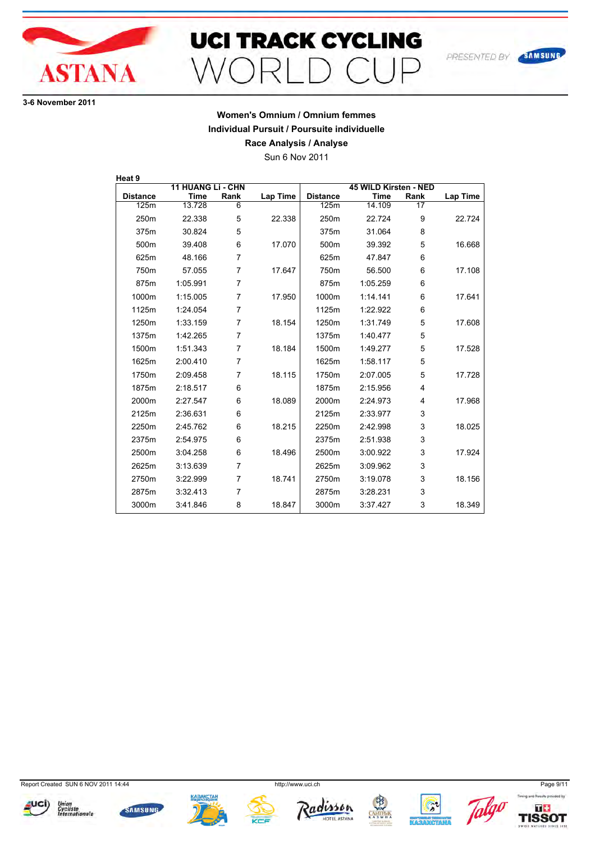

**36 November 2011**

## **Women's Omnium / Omnium femmes Individual Pursuit / Poursuite individuelle**

**Race Analysis / Analyse**

Sun 6 Nov 2011

| Heat 9           |                          |                |                 |                  |                       |      |          |
|------------------|--------------------------|----------------|-----------------|------------------|-----------------------|------|----------|
|                  | <b>11 HUANG Li - CHN</b> |                |                 |                  | 45 WILD Kirsten - NED |      |          |
| <b>Distance</b>  | <b>Time</b>              | Rank           | <b>Lap Time</b> | <b>Distance</b>  | <b>Time</b>           | Rank | Lap Time |
| 125m             | 13.728                   | 6              |                 | 125m             | 14.109                | 17   |          |
| 250 <sub>m</sub> | 22.338                   | 5              | 22.338          | 250 <sub>m</sub> | 22.724                | 9    | 22.724   |
| 375m             | 30.824                   | 5              |                 | 375m             | 31.064                | 8    |          |
| 500m             | 39.408                   | 6              | 17.070          | 500m             | 39.392                | 5    | 16.668   |
| 625m             | 48.166                   | $\overline{7}$ |                 | 625m             | 47.847                | 6    |          |
| 750m             | 57.055                   | $\overline{7}$ | 17.647          | 750m             | 56.500                | 6    | 17.108   |
| 875m             | 1:05.991                 | $\overline{7}$ |                 | 875m             | 1:05.259              | 6    |          |
| 1000m            | 1:15.005                 | $\overline{7}$ | 17.950          | 1000m            | 1:14.141              | 6    | 17.641   |
| 1125m            | 1:24.054                 | $\overline{7}$ |                 | 1125m            | 1:22.922              | 6    |          |
| 1250m            | 1:33.159                 | $\overline{7}$ | 18.154          | 1250m            | 1:31.749              | 5    | 17.608   |
| 1375m            | 1:42.265                 | 7              |                 | 1375m            | 1:40.477              | 5    |          |
| 1500m            | 1:51.343                 | 7              | 18.184          | 1500m            | 1:49.277              | 5    | 17.528   |
| 1625m            | 2:00.410                 | 7              |                 | 1625m            | 1:58.117              | 5    |          |
| 1750m            | 2:09.458                 | $\overline{7}$ | 18.115          | 1750m            | 2:07.005              | 5    | 17.728   |
| 1875m            | 2:18.517                 | 6              |                 | 1875m            | 2:15.956              | 4    |          |
| 2000m            | 2:27.547                 | 6              | 18.089          | 2000m            | 2:24.973              | 4    | 17.968   |
| 2125m            | 2:36.631                 | 6              |                 | 2125m            | 2:33.977              | 3    |          |
| 2250m            | 2:45.762                 | 6              | 18.215          | 2250m            | 2:42.998              | 3    | 18.025   |
| 2375m            | 2:54.975                 | 6              |                 | 2375m            | 2:51.938              | 3    |          |
| 2500m            | 3:04.258                 | 6              | 18.496          | 2500m            | 3:00.922              | 3    | 17.924   |
| 2625m            | 3:13.639                 | $\overline{7}$ |                 | 2625m            | 3:09.962              | 3    |          |
| 2750m            | 3:22.999                 | 7              | 18.741          | 2750m            | 3:19.078              | 3    | 18.156   |
| 2875m            | 3:32.413                 | $\overline{7}$ |                 | 2875m            | 3:28.231              | 3    |          |
| 3000m            | 3:41.846                 | 8              | 18.847          | 3000m            | 3:37.427              | 3    | 18.349   |

Report Created SUN 6 NOV 2011 14:44 http://www.uci.ch Page 9/11



















SAMSUNG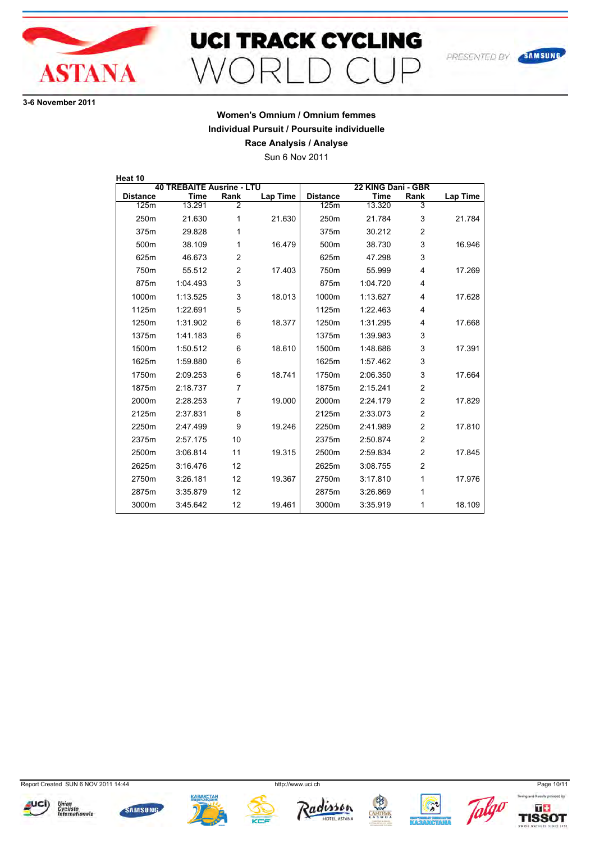

# **UCI TRACK CYCLING** MORL  $\bigcap$   $\bigcap$   $\bigcap$

**36 November 2011**

## **Women's Omnium / Omnium femmes Individual Pursuit / Poursuite individuelle**

**Race Analysis / Analyse**

Sun 6 Nov 2011

| Heat 10          |                                  |                |                 |                  |                    |                |                 |
|------------------|----------------------------------|----------------|-----------------|------------------|--------------------|----------------|-----------------|
|                  | <b>40 TREBAITE Ausrine - LTU</b> |                |                 |                  | 22 KING Dani - GBR |                |                 |
| <b>Distance</b>  | Time                             | Rank           | <b>Lap Time</b> | <b>Distance</b>  | <b>Time</b>        | Rank           | <b>Lap Time</b> |
| 125m             | 13.291                           | $\overline{2}$ |                 | 125m             | 13.320             | 3              |                 |
| 250 <sub>m</sub> | 21.630                           | 1              | 21.630          | 250 <sub>m</sub> | 21.784             | 3              | 21.784          |
| 375m             | 29.828                           | 1              |                 | 375m             | 30.212             | $\overline{2}$ |                 |
| 500m             | 38.109                           | 1              | 16.479          | 500m             | 38.730             | 3              | 16.946          |
| 625m             | 46.673                           | $\overline{2}$ |                 | 625m             | 47.298             | 3              |                 |
| 750m             | 55.512                           | 2              | 17.403          | 750m             | 55.999             | 4              | 17.269          |
| 875m             | 1:04.493                         | 3              |                 | 875m             | 1:04.720           | 4              |                 |
| 1000m            | 1:13.525                         | 3              | 18.013          | 1000m            | 1:13.627           | 4              | 17.628          |
| 1125m            | 1:22.691                         | 5              |                 | 1125m            | 1:22.463           | 4              |                 |
| 1250m            | 1:31.902                         | 6              | 18.377          | 1250m            | 1:31.295           | 4              | 17.668          |
| 1375m            | 1:41.183                         | 6              |                 | 1375m            | 1:39.983           | 3              |                 |
| 1500m            | 1:50.512                         | 6              | 18.610          | 1500m            | 1:48.686           | 3              | 17.391          |
| 1625m            | 1:59.880                         | 6              |                 | 1625m            | 1:57.462           | 3              |                 |
| 1750m            | 2:09.253                         | 6              | 18.741          | 1750m            | 2:06.350           | 3              | 17.664          |
| 1875m            | 2:18.737                         | $\overline{7}$ |                 | 1875m            | 2:15.241           | $\overline{2}$ |                 |
| 2000m            | 2:28.253                         | $\overline{7}$ | 19.000          | 2000m            | 2:24.179           | $\overline{2}$ | 17.829          |
| 2125m            | 2:37.831                         | 8              |                 | 2125m            | 2:33.073           | $\overline{2}$ |                 |
| 2250m            | 2:47.499                         | 9              | 19.246          | 2250m            | 2:41.989           | $\overline{2}$ | 17.810          |
| 2375m            | 2:57.175                         | 10             |                 | 2375m            | 2:50.874           | $\overline{2}$ |                 |
| 2500m            | 3:06.814                         | 11             | 19.315          | 2500m            | 2:59.834           | $\overline{2}$ | 17.845          |
| 2625m            | 3:16.476                         | 12             |                 | 2625m            | 3:08.755           | 2              |                 |
| 2750m            | 3:26.181                         | 12             | 19.367          | 2750m            | 3:17.810           | 1              | 17.976          |
| 2875m            | 3:35.879                         | 12             |                 | 2875m            | 3:26.869           | 1              |                 |
| 3000m            | 3:45.642                         | 12             | 19.461          | 3000m            | 3:35.919           | 1              | 18.109          |

Report Created SUN 6 NOV 2011 14:44 http://www.uci.ch Page 10/11

















SAMSUNG